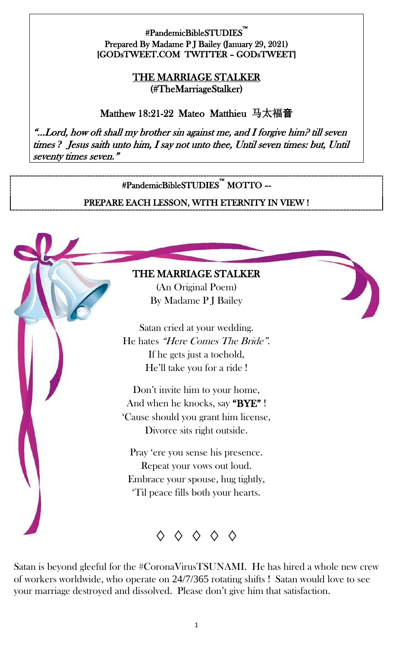#### #PandemicBibleSTUDIES™ i<br>L Prepared By Madame P J Bailey (January 29, 2021) [GODsTWEET.COM TWITTER – GODsTWEET]

#### THE MARRIAGE STALKER (#TheMarriageStalker)

Matthew 18:21-22 Mateo Matthieu 马太福音

"…Lord, how oft shall my brother sin against me, and I forgive him? till seven times *?* Jesus saith unto him, I say not unto thee, Until seven times: but, Until seventy times seven."

## #PandemicBibleSTUDIES™ MOTTO –- PREPARE EACH LESSON, WITH ETERNITY IN VIEW !

#### THE MARRIAGE STALKER

Į

ì

(An Original Poem) By Madame P J Bailey

Satan cried at your wedding. He hates "Here Comes The Bride". If he gets just a toehold, He'll take you for a ride !

Don't invite him to your home, And when he knocks, say "BYE" ! 'Cause should you grant him license, Divorce sits right outside.

Pray 'ere you sense his presence. Repeat your vows out loud. Embrace your spouse, hug tightly, 'Til peace fills both your hearts.

◊ ◊ ◊ ◊ ◊

Satan is beyond gleeful for the #CoronaVirusTSUNAMI. He has hired a whole new crew of workers worldwide, who operate on 24/7/365 rotating shifts ! Satan would love to see your marriage destroyed and dissolved. Please don't give him that satisfaction.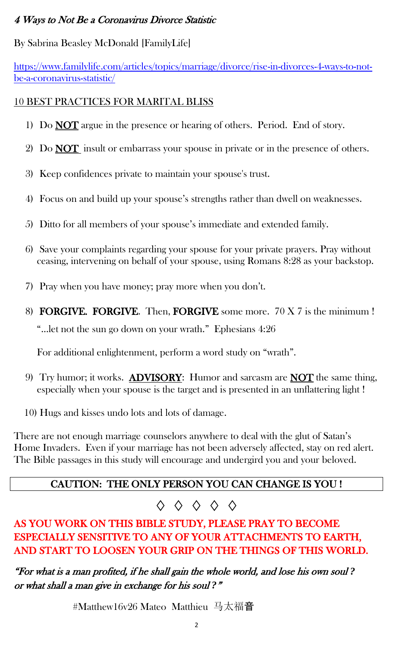### 4 Ways to Not Be a Coronavirus Divorce Statistic

### By Sabrina Beasley McDonald [FamilyLife]

[https://www.familylife.com/articles/topics/marriage/divorce/rise-in-divorces-4-ways-to-not](https://www.familylife.com/articles/topics/marriage/divorce/rise-in-divorces-4-ways-to-not-be-a-coronavirus-statistic/)[be-a-coronavirus-statistic/](https://www.familylife.com/articles/topics/marriage/divorce/rise-in-divorces-4-ways-to-not-be-a-coronavirus-statistic/)

### 10 BEST PRACTICES FOR MARITAL BLISS

- 1) Do **NOT** argue in the presence or hearing of others. Period. End of story.
- 2) Do **NOT** insult or embarrass your spouse in private or in the presence of others.
- 3) Keep confidences private to maintain your spouse's trust.
- 4) Focus on and build up your spouse's strengths rather than dwell on weaknesses.
- 5) Ditto for all members of your spouse's immediate and extended family.
- 6) Save your complaints regarding your spouse for your private prayers. Pray without ceasing, intervening on behalf of your spouse, using Romans 8:28 as your backstop.
- 7) Pray when you have money; pray more when you don't.
- 8) FORGIVE. FORGIVE. Then, FORGIVE some more. 70 X 7 is the minimum ! "…let not the sun go down on your wrath." Ephesians 4:26

For additional enlightenment, perform a word study on "wrath".

- 9) Try humor; it works. **ADVISORY**: Humor and sarcasm are **NOT** the same thing, especially when your spouse is the target and is presented in an unflattering light !
- 10) Hugs and kisses undo lots and lots of damage.

There are not enough marriage counselors anywhere to deal with the glut of Satan's Home Invaders. Even if your marriage has not been adversely affected, stay on red alert. The Bible passages in this study will encourage and undergird you and your beloved.

## CAUTION: THE ONLY PERSON YOU CAN CHANGE IS YOU !

# ◊ ◊ ◊ ◊ ◊

AS YOU WORK ON THIS BIBLE STUDY, PLEASE PRAY TO BECOME ESPECIALLY SENSITIVE TO ANY OF YOUR ATTACHMENTS TO EARTH, AND START TO LOOSEN YOUR GRIP ON THE THINGS OF THIS WORLD.

"For what is a man profited, if he shall gain the whole world, and lose his own soul *?*  or what shall a man give in exchange for his soul *?*"

#Matthew16v26 Mateo Matthieu 马太福音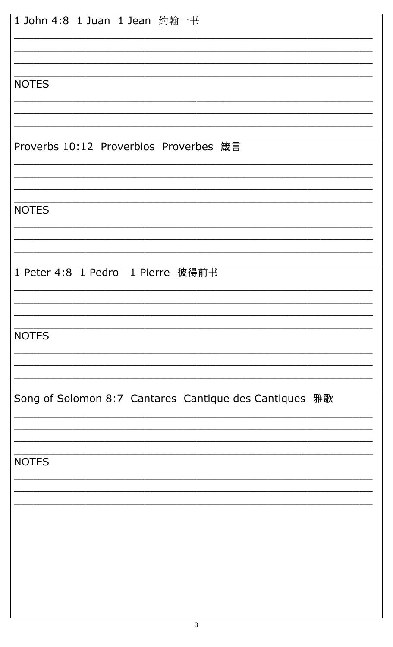| 1 John 4:8 1 Juan 1 Jean 约翰一书                          |
|--------------------------------------------------------|
|                                                        |
| <b>NOTES</b>                                           |
|                                                        |
| Proverbs 10:12 Proverbios Proverbes 箴言                 |
|                                                        |
|                                                        |
| <b>NOTES</b>                                           |
|                                                        |
| 1 Peter 4:8 1 Pedro 1 Pierre 彼得前书                      |
|                                                        |
| <b>NOTES</b>                                           |
|                                                        |
| Song of Solomon 8:7 Cantares Cantique des Cantiques 雅歌 |
|                                                        |
| <b>NOTES</b>                                           |
|                                                        |
|                                                        |
|                                                        |
|                                                        |
|                                                        |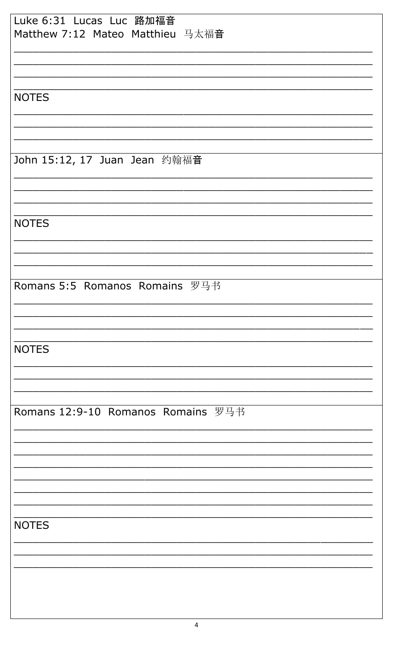| Luke 6:31 Lucas Luc 路加福音<br>Matthew 7:12 Mateo Matthieu 马太福音 |
|--------------------------------------------------------------|
|                                                              |
|                                                              |
| <b>NOTES</b>                                                 |
|                                                              |
|                                                              |
| John 15:12, 17 Juan Jean 约翰福音                                |
|                                                              |
|                                                              |
| <b>NOTES</b>                                                 |
|                                                              |
|                                                              |
| Romans 5:5 Romanos Romains 罗马书                               |
|                                                              |
|                                                              |
| <b>NOTES</b>                                                 |
|                                                              |
|                                                              |
| Romans 12:9-10 Romanos Romains 罗马书                           |
|                                                              |
|                                                              |
|                                                              |
|                                                              |
| <b>NOTES</b>                                                 |
|                                                              |
|                                                              |
|                                                              |
|                                                              |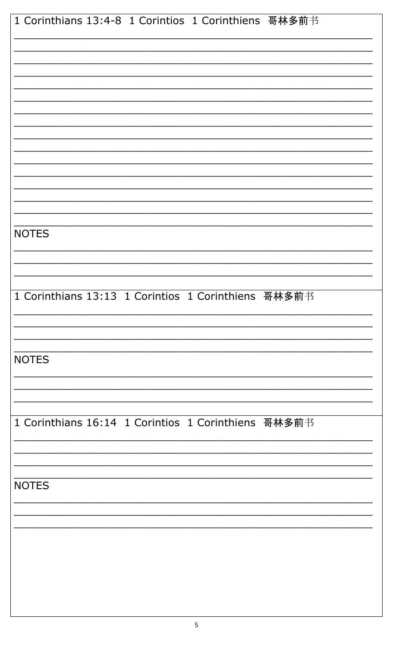| 1 Corinthians 13:4-8 1 Corintios 1 Corinthiens 哥林多前书 |
|------------------------------------------------------|
|                                                      |
|                                                      |
|                                                      |
|                                                      |
|                                                      |
|                                                      |
|                                                      |
| <b>NOTES</b>                                         |
|                                                      |
| 1 Corinthians 13:13 1 Corintios 1 Corinthiens 哥林多前书  |
|                                                      |
|                                                      |
| <b>NOTES</b>                                         |
|                                                      |
| 1 Corinthians 16:14 1 Corintios 1 Corinthiens 哥林多前书  |
|                                                      |
| <b>NOTES</b>                                         |
|                                                      |
|                                                      |
|                                                      |
|                                                      |
|                                                      |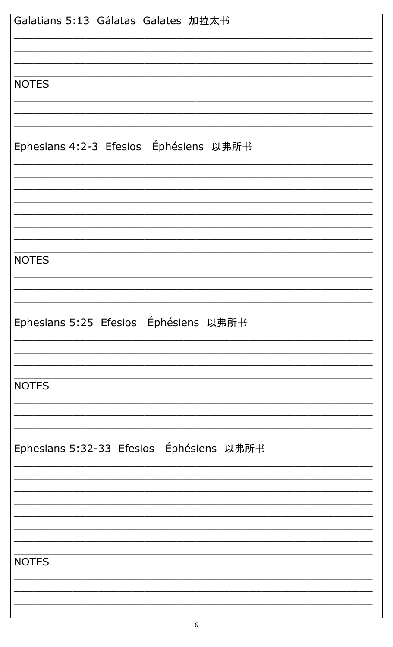| Galatians 5:13 Gálatas Galates 加拉太书      |
|------------------------------------------|
|                                          |
| <b>NOTES</b>                             |
|                                          |
| Ephesians 4:2-3 Efesios Éphésiens 以弗所书   |
|                                          |
|                                          |
|                                          |
| <b>NOTES</b>                             |
|                                          |
| Ephesians 5:25 Efesios Éphésiens 以弗所书    |
|                                          |
| <b>NOTES</b>                             |
|                                          |
| Ephesians 5:32-33 Efesios Éphésiens 以弗所书 |
|                                          |
|                                          |
|                                          |
| <b>NOTES</b>                             |
|                                          |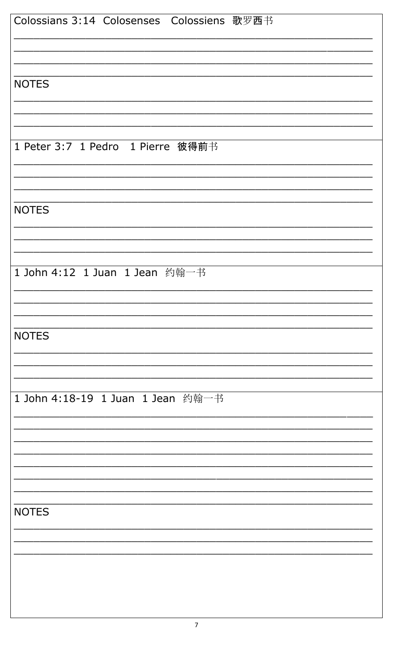| Colossians 3:14 Colosenses Colossiens 歌罗西书 |
|--------------------------------------------|
|                                            |
|                                            |
| <b>NOTES</b>                               |
|                                            |
|                                            |
| 1 Peter 3:7 1 Pedro 1 Pierre 彼得前书          |
|                                            |
|                                            |
| <b>NOTES</b>                               |
|                                            |
|                                            |
| 1 John 4:12 1 Juan 1 Jean 约翰一书             |
|                                            |
|                                            |
| <b>NOTES</b>                               |
|                                            |
|                                            |
| 1 John 4:18-19 1 Juan 1 Jean 约翰一书          |
|                                            |
|                                            |
|                                            |
|                                            |
| <b>NOTES</b>                               |
|                                            |
|                                            |
|                                            |
|                                            |
|                                            |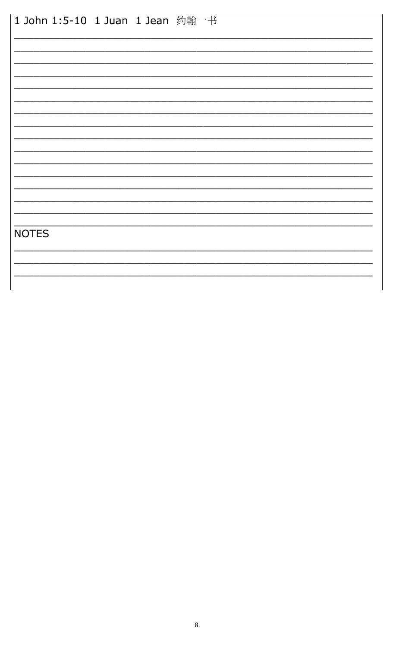|              | 1 John 1:5-10 1 Juan 1 Jean 约翰一书 |  |
|--------------|----------------------------------|--|
|              |                                  |  |
|              |                                  |  |
|              |                                  |  |
|              |                                  |  |
|              |                                  |  |
|              |                                  |  |
|              |                                  |  |
|              |                                  |  |
| <b>NOTES</b> |                                  |  |
|              |                                  |  |
|              |                                  |  |